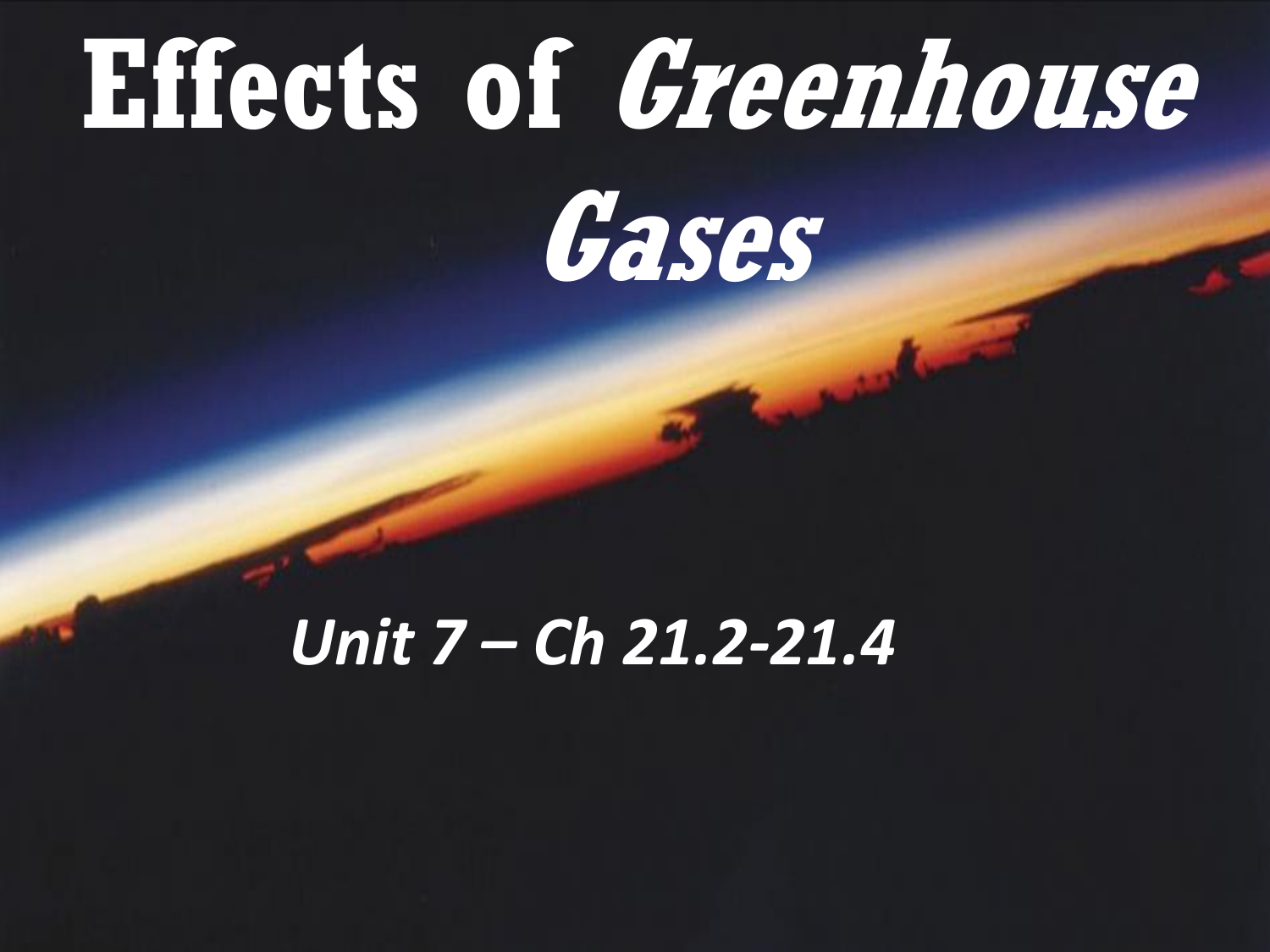#### **Effects of Greenhouse Gases**

#### *Unit 7 – Ch 21.2-21.4*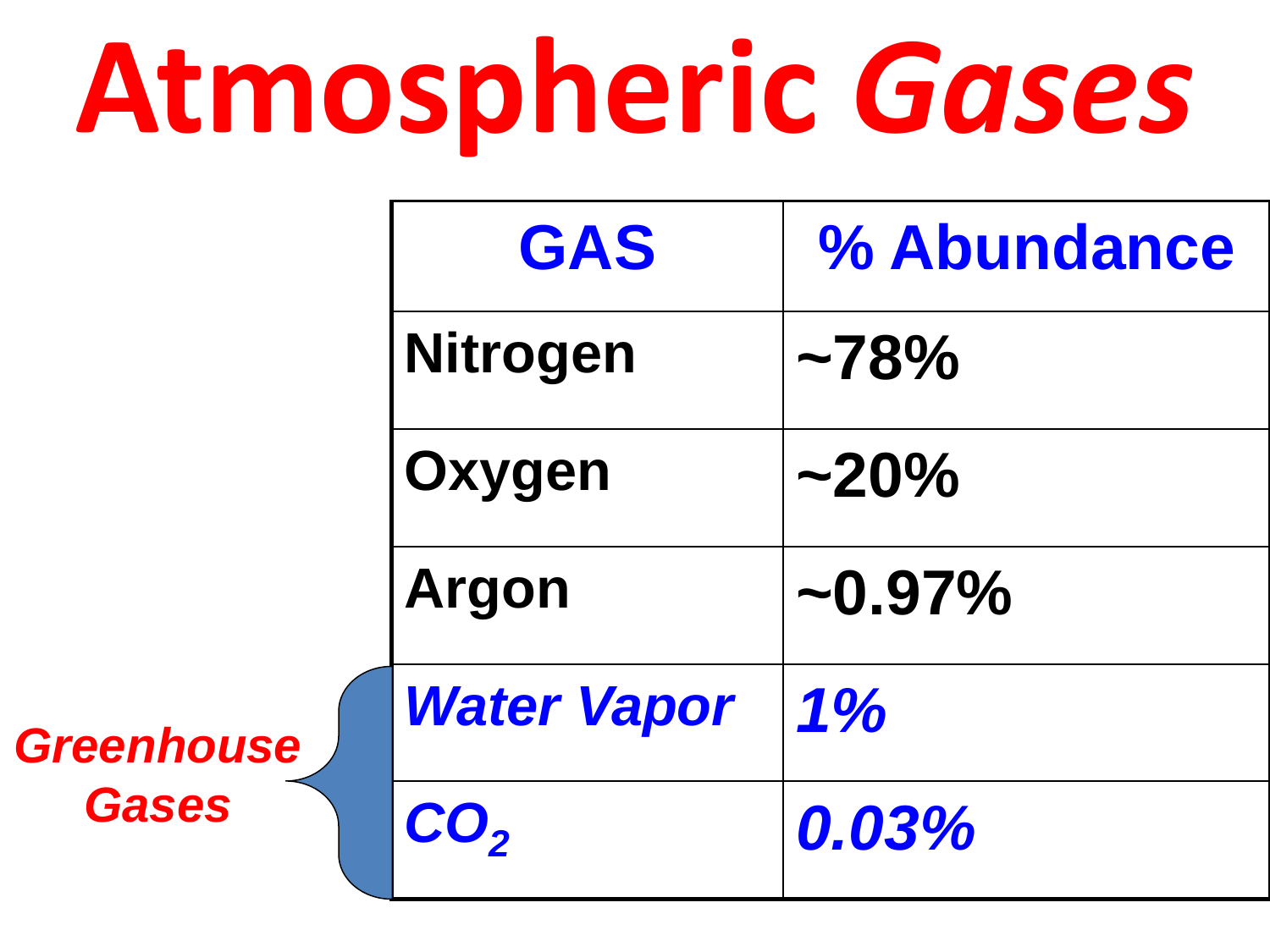### **Atmospheric** *Gases*

|                                   | <b>GAS</b>                 | % Abundance   |
|-----------------------------------|----------------------------|---------------|
|                                   | <b>Nitrogen</b>            | $~178\%$      |
|                                   | Oxygen                     | $\sim$ 20%    |
|                                   | <b>Argon</b>               | $\sim 0.97\%$ |
| <b>Greenhouse</b><br><b>Gases</b> | <b>Water Vapor</b>         | $1\%$         |
|                                   | ${\color{red} {\bf CO_2}}$ | 0.03%         |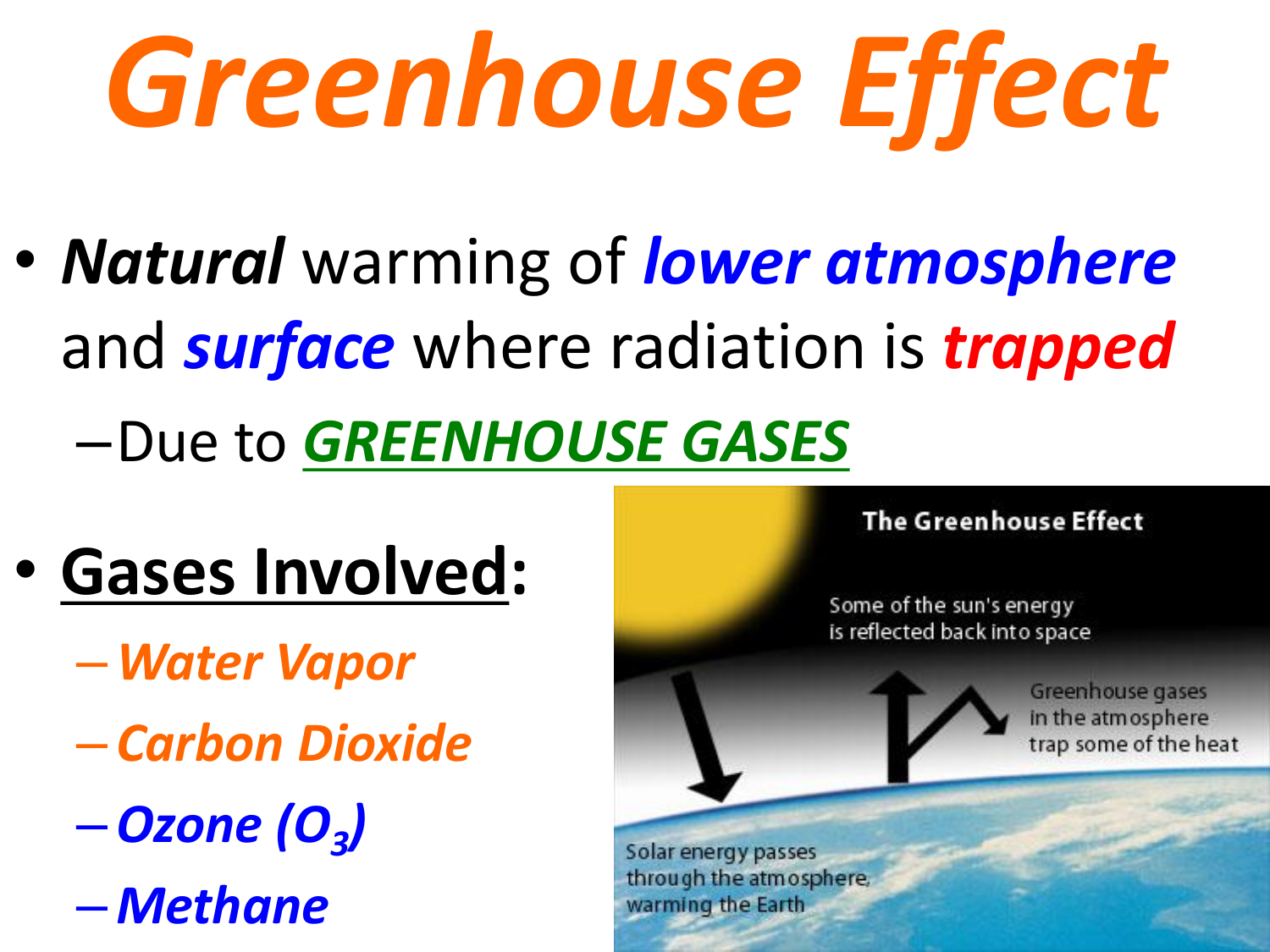# *Greenhouse Effect*

- *Natural* warming of *lower atmosphere*  and *surface* where radiation is *trapped*
	- –Due to *GREENHOUSE GASES*
- **Gases Involved:**
	- –*Water Vapor*
	- *Carbon Dioxide*
	- –*Ozone (O<sup>3</sup> )*
	- *Methane*

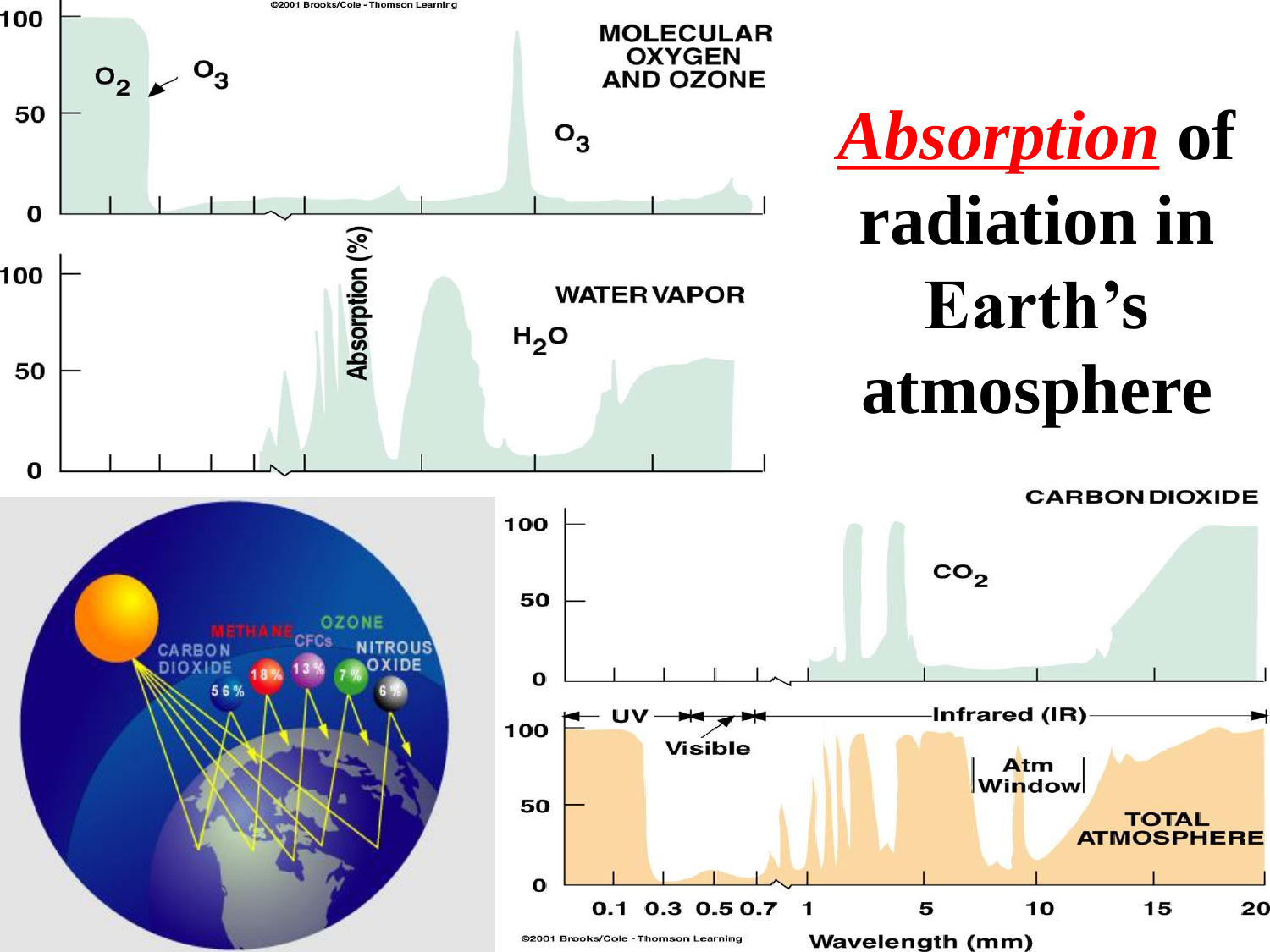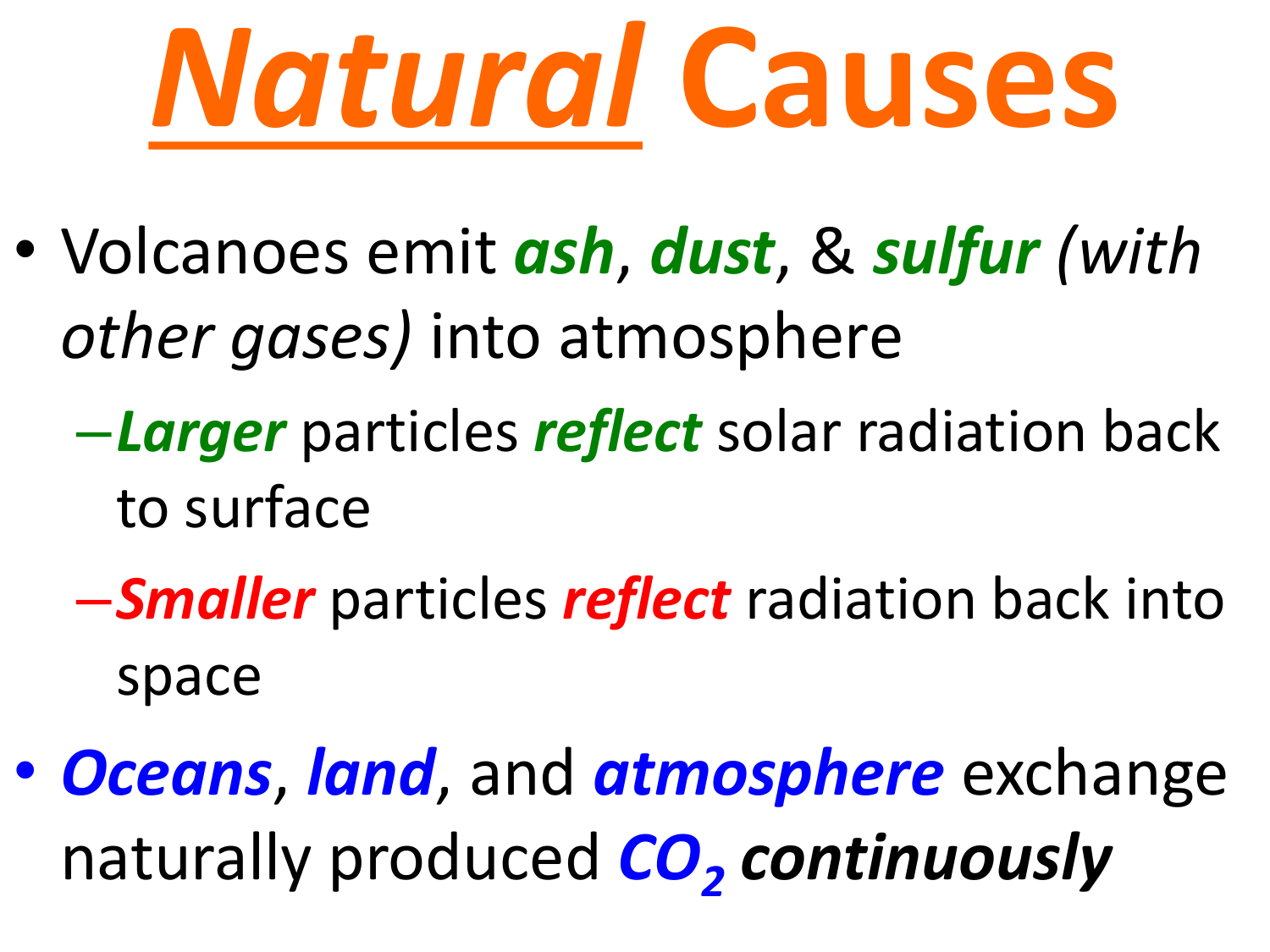

- Volcanoes emit *ash*, *dust*, & *sulfur (with other gases)* into atmosphere
	- –*Larger* particles *reflect* solar radiation back to surface
	- –*Smaller* particles *reflect* radiation back into space
- *Oceans*, *land*, and *atmosphere* exchange naturally produced *CO<sup>2</sup> continuously*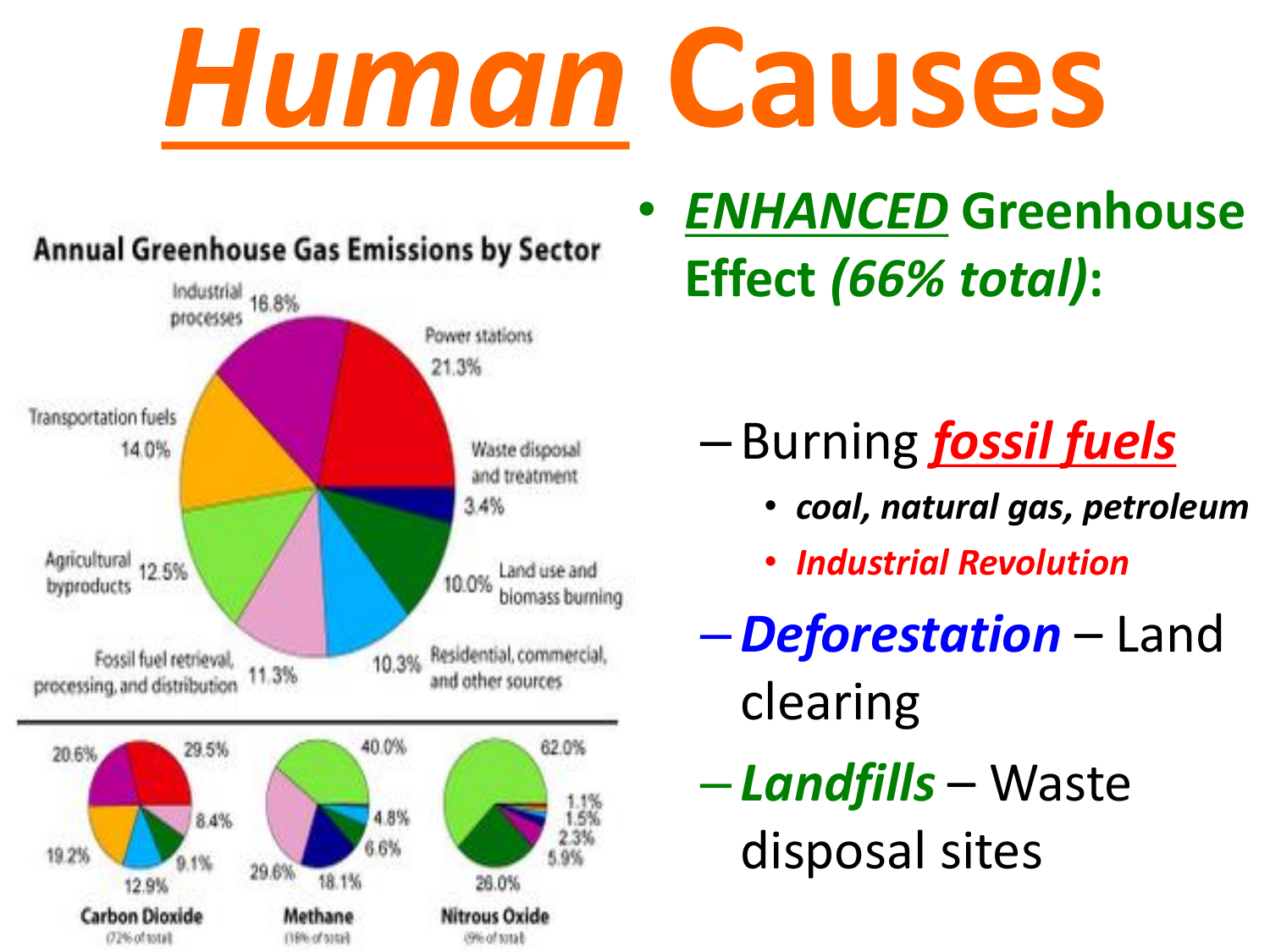## *Human* **Causes**



• *ENHANCED* **Greenhouse Effect** *(66% total)***:**

– Burning *fossil fuels*

- *coal, natural gas, petroleum*
- *Industrial Revolution*
- –*Deforestation* Land clearing
- *Landfills* Waste disposal sites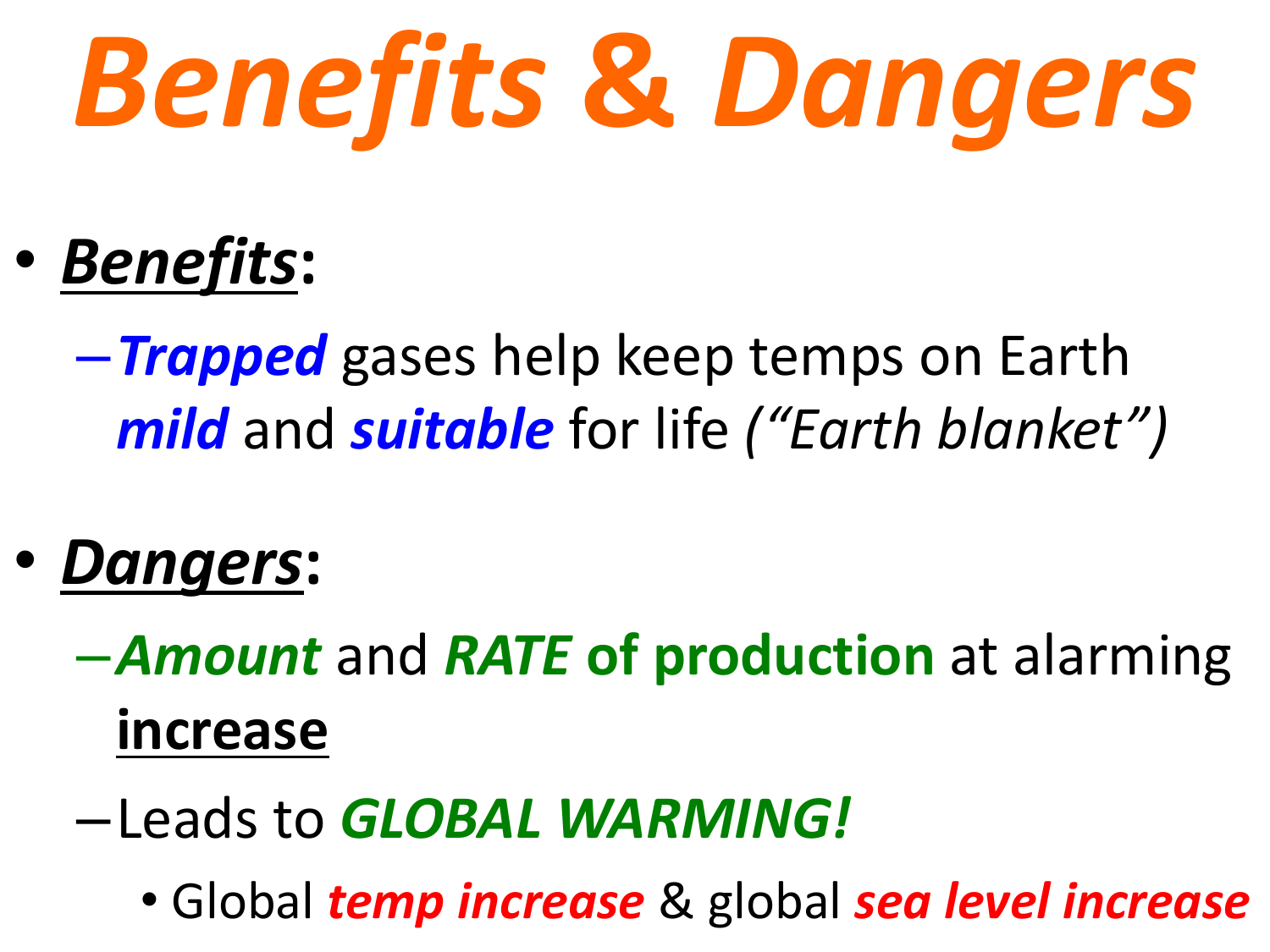# *Benefits* **&** *Dangers*

- *Benefits***:**
	- –*Trapped* gases help keep temps on Earth *mild* and *suitable* for life *("Earth blanket")*
- *Dangers***:**

–*Amount* and *RATE* **of production** at alarming **increase**

- –Leads to *GLOBAL WARMING!*
	- Global *temp increase* & global *sea level increase*